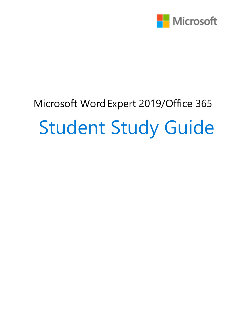

# Microsoft WordExpert 2019/Office 365 Student Study Guide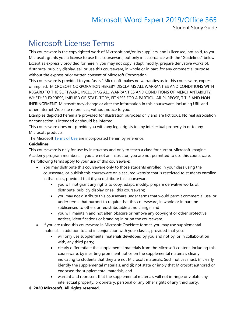Student Study Guide

### Microsoft License Terms

This courseware is the copyrighted work of Microsoft and/or its suppliers, and is licensed, not sold, to you. Microsoft grants you a license to use this courseware, but only in accordance with the "Guidelines" below. Except as expressly provided for herein, you may not copy, adapt, modify, prepare derivative works of, distribute, publicly display, sell or use this courseware, in whole or in part, for any commercial purpose without the express prior written consent of Microsoft Corporation.

This courseware is provided to you "as-is." Microsoft makes no warranties as to this courseware, express or implied. MICROSOFT CORPORATION HEREBY DISCLAIMS ALL WARRANTIES AND CONDITIONS WITH REGARD TO THE SOFTWARE, INCLUDING ALL WARRANTIES AND CONDITIONS OF MERCHANTABILITY, WHETHER EXPRESS, IMPLIED OR STATUTORY, FITNESS FOR A PARTICULAR PURPOSE, TITLE AND NON-INFRINGEMENT. Microsoft may change or alter the information in this courseware, including URL and other Internet Web site references, without notice to you.

Examples depicted herein are provided for illustration purposes only and are fictitious. No real association or connection is intended or should be inferred.

This courseware does not provide you with any legal rights to any intellectual property in or to any Microsoft products.

The Microsoft [Terms of Use](https://aka.ms/Terms_of_Use) are incorporated herein by reference.

#### **Guidelines**

This courseware is only for use by instructors and only to teach a class for current Microsoft Imagine Academy program members. If you are not an instructor, you are not permitted to use this courseware. The following terms apply to your use of this courseware:

- You may distribute this courseware only to those students enrolled in your class using the courseware, or publish this courseware on a secured website that is restricted to students enrolled in that class, provided that if you distribute this courseware:
	- you will not grant any rights to copy, adapt, modify, prepare derivative works of, distribute, publicly display or sell this courseware;
	- you may not distribute this courseware under terms that would permit commercial use, or under terms that purport to require that this courseware, in whole or in part, be sublicensed to others or redistributable at no charge; and
	- you will maintain and not alter, obscure or remove any copyright or other protective notices, identifications or branding in or on the courseware.
- If you are using this courseware in Microsoft OneNote format, you may use supplemental materials in addition to and in conjunction with your classes, provided that you:
	- will only use supplemental materials developed by you and not by, or in collaboration with, any third party;
	- clearly differentiate the supplemental materials from the Microsoft content, including this courseware, by inserting prominent notice on the supplemental materials clearly indicating to students that they are not Microsoft materials. Such notices must: (i) clearly identify the supplemental materials, and (ii) not state or imply that Microsoft authored or endorsed the supplemental materials; and
	- warrant and represent that the supplemental materials will not infringe or violate any intellectual property, proprietary, personal or any other rights of any third party.

#### **© 2020 Microsoft. All rights reserved.**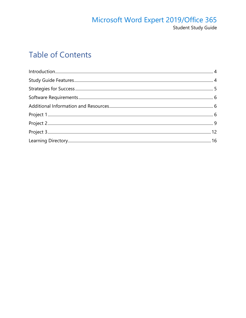#### Microsoft Word Expert 2019/Office 365 Student Study Guide

### **Table of Contents**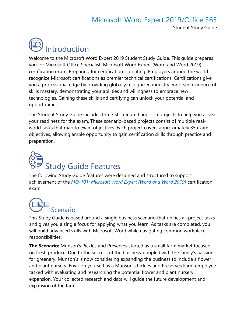#### Microsoft Word Expert 2019/Office 365 Student Study Guide

<span id="page-3-0"></span>

Welcome to the Microsoft Word Expert 2019 Student Study Guide. This guide prepares you for Microsoft Office Specialist: Microsoft Word Expert (Word and Word 2019) certification exam. Preparing for certification is exciting! Employers around the world recognize Microsoft certifications as premier technical certifications. Certifications give you a professional edge by providing globally recognized industry endorsed evidence of skills mastery, demonstrating your abilities and willingness to embrace new technologies. Gaining these skills and certifying can unlock your potential and opportunities.

The Student Study Guide includes three 50-minute hands-on projects to help you assess your readiness for the exam. These scenario-based projects consist of multiple realworld tasks that map to exam objectives. Each project covers approximately 35 exam objectives, allowing ample opportunity to gain certification skills through practice and preparation.

# <span id="page-3-1"></span>Study Guide Features

The following Study Guide features were designed and structured to support achievement of the *[MO-101: Microsoft Word Expert \(Word and Word 2019\)](https://aka.ms/MO-100_Microsoft_Word)* certification exam.



This Study Guide is based around a single business scenario that unifies all project tasks and gives you a single focus for applying what you learn. As tasks are completed, you will build advanced skills with Microsoft Word while navigating common workplace responsibilities.

**The Scenario:** Munson's Pickles and Preserves started as a small farm market focused on fresh produce. Due to the success of the business, coupled with the family's passion for greenery, Munson's is now considering expanding the business to include a flower and plant nursery. Envision yourself as a Munson's Pickles and Preserves Farm employee tasked with evaluating and researching the potential flower and plant nursery expansion. Your collected research and data will guide the future development and expansion of the farm.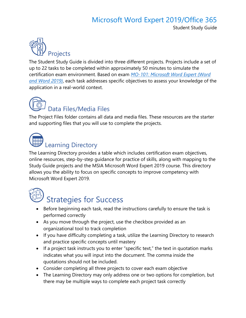#### Microsoft Word Expert 2019/Office 365 Student Study Guide



The Student Study Guide is divided into three different projects. Projects include a set of up to 22 tasks to be completed within approximately 50 minutes to simulate the certification exam environment. Based on exam *[MO-101: Microsoft Word Expert \(Word](https://aka.ms/MO-100_Microsoft_Word)  [and Word 2019\)](https://aka.ms/MO-100_Microsoft_Word)*, each task addresses specific objectives to assess your knowledge of the application in a real-world context.

## Data Files/Media Files

The Project Files folder contains all data and media files. These resources are the starter and supporting files that you will use to complete the projects.



#### Learning Directory

The Learning Directory provides a table which includes certification exam objectives, online resources, step-by-step guidance for practice of skills, along with mapping to the Study Guide projects and the MSIA Microsoft Word Expert 2019 course. This directory allows you the ability to focus on specific concepts to improve competency with Microsoft Word Expert 2019.

<span id="page-4-0"></span>

## Strategies for Success

- Before beginning each task, read the instructions carefully to ensure the task is performed correctly
- As you move through the project, use the checkbox provided as an organizational tool to track completion
- If you have difficulty completing a task, utilize the Learning Directory to research and practice specific concepts until mastery
- If a project task instructs you to enter "specific text," the text in quotation marks indicates what you will input into the document. The comma inside the quotations should not be included.
- Consider completing all three projects to cover each exam objective
- The Learning Directory may only address one or two options for completion, but there may be multiple ways to complete each project task correctly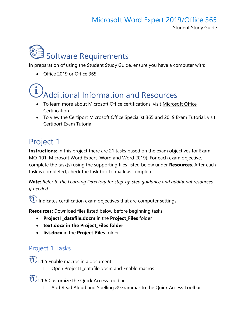Student Study Guide

<span id="page-5-0"></span>

In preparation of using the Student Study Guide, ensure you have a computer with:

• Office 2019 or Office 365

# <span id="page-5-1"></span>Additional Information and Resources

- To learn more about Microsoft Office certifications, visit [Microsoft Office](https://aka.ms/MOS_certification_overview)  [Certification](https://aka.ms/MOS_certification_overview)
- To view the Certiport Microsoft Office Specialist 365 and 2019 Exam Tutorial, visit [Certiport Exam Tutorial](https://certiport.pearsonvue.com/Educator-resources/Exam-details/Exam-tutorials/MOS-2019/MOS_365and2019_Tutorial.pdf)

## <span id="page-5-2"></span>Project 1

**Instructions:** In this project there are 21 tasks based on the exam objectives for Exam MO-101: Microsoft Word Expert (Word and Word 2019). For each exam objective, complete the task(s) using the supporting files listed below under **Resources**. After each task is completed, check the task box to mark as complete.

*Note: Refer to the Learning Directory for step-by-step guidance and additional resources, if needed.*

 $\widehat{\P}$  Indicates certification exam objectives that are computer settings

**Resources:** Download files listed below before beginning tasks

- **Project1\_datafile.docm** in the **Project\_Files** folder
- **text.docx in the Project\_Files folder**
- **list.docx** in the **Project\_Files** folder

#### Project 1 Tasks

 $\overline{\mathbb{Q}}$ 1.1.5 Enable macros in a document

☐ Open Project1\_datafile.docm and Enable macros

 $\bigcirc$ 1.1.6 Customize the Quick Access toolbar

☐ Add Read Aloud and Spelling & Grammar to the Quick Access Toolbar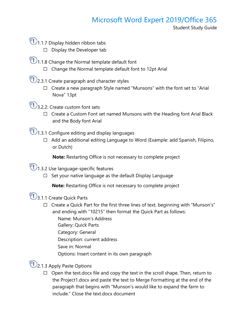Student Study Guide

- $\overline{\mathbb{O}}$ 1.1.7 Display hidden ribbon tabs
	- ☐ Display the Developer tab
- $\circled{1}$ 1.1.8 Change the Normal template default font
	- ☐ Change the Normal template default font to 12pt Arial
- $\bigcirc$  2.3.1 Create paragraph and character styles
	- □ Create a new paragraph Style named "Munsons" with the font set to "Arial Nova" 13pt
- $\bigcup_{3.2.2}$ : Create custom font sets
	- □ Create a Custom Font set named Munsons with the Heading font Arial Black and the Body font Arial
- $\bigcirc$ 1.3.1 Configure editing and display languages
	- ☐ Add an additional editing Language to Word (Example: add Spanish, Filipino, or Dutch)

**Note:** Restarting Office is not necessary to complete project

 $\bigcirc$ 1.3.2 Use language-specific features

☐ Set your native language as the default Display Language

**Note:** Restarting Office is not necessary to complete project

 $\overline{\mathbb{Q}}$ 3.1.1 Create Quick Parts

- $\Box$  Create a Quick Part for the first three lines of text, beginning with "Munson's" and ending with "10215" then format the Quick Part as follows:
	- Name: Munson's Address
	- Gallery: Quick Parts
	- Category: General
	- Description: current address
	- Save in: Normal
	- Options: Insert content in its own paragraph

 $\mathbb{C}$ 2.1.3 Apply Paste Options

 $\Box$  Open the text.docx file and copy the text in the scroll shape. Then, return to the Project1.docx and paste the text to Merge Formatting at the end of the paragraph that begins with "Munson's would like to expand the farm to include." Close the text.docx document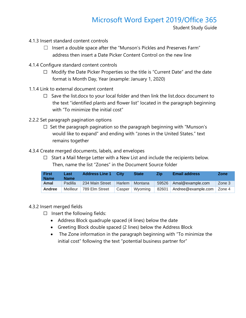Student Study Guide

- 4.1.3 Insert standard content controls
	- $\Box$  Insert a double space after the "Munson's Pickles and Preserves Farm" address then insert a Date Picker Content Control on the new line
- 4.1.4 Configure standard content controls
	- ☐ Modify the Date Picker Properties so the title is "Current Date" and the date format is Month Day, Year (example: January 1, 2020)
- 1.1.4 Link to external document content
	- $\Box$  Save the list.docx to your local folder and then link the list.docx document to the text "identified plants and flower list" located in the paragraph beginning with "To minimize the initial cost"
- 2.2.2 Set paragraph pagination options
	- $\Box$  Set the paragraph pagination so the paragraph beginning with "Munson's would like to expand" and ending with "zones in the United States." text remains together
- 4.3.4 Create merged documents, labels, and envelopes
	- $\Box$  Start a Mail Merge Letter with a New List and include the recipients below. Then, name the list "Zones" in the Document Source folder

| <b>First</b><br><b>Name</b> | Last<br><b>Name</b> | <b>Address Line 1</b> | <b>City</b>   | <b>State</b> | Zip   | <b>Email address</b> | <b>Zone</b> |
|-----------------------------|---------------------|-----------------------|---------------|--------------|-------|----------------------|-------------|
| Amal                        | Padilla             | 234 Main Street       | <b>Harlem</b> | Montana      | 59526 | Amal@example.com     | Zone 3      |
| Andree                      | Meilleur            | 789 Elm Street        | Casper        | Wyoming      | 82601 | Andree@example.com   | Zone 4      |

#### 4.3.2 Insert merged fields

- $\Box$  Insert the following fields:
	- Address Block quadruple spaced (4 lines) below the date
	- Greeting Block double spaced (2 lines) below the Address Block
	- The Zone information in the paragraph beginning with "To minimize the initial cost" following the text "potential business partner for"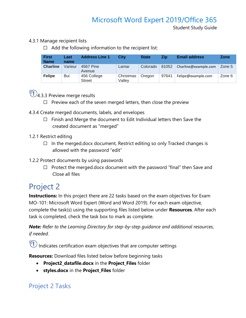Student Study Guide

- 4.3.1 Manage recipient lists
	- $\Box$  Add the following information to the recipient list:

| <b>First</b><br><b>Name</b> | Last<br>name | <b>Address Line 1</b>        | City                | <b>State</b> | <b>Zip</b> | <b>Email address</b> | <b>Zone</b> |
|-----------------------------|--------------|------------------------------|---------------------|--------------|------------|----------------------|-------------|
| <b>Charline</b>             | Varieur      | 4567 Pine<br>Avenue          | Lamar               | Colorado     | 81052      | Charline@example.com | Zone 5      |
| <b>Felipe</b>               | Bui          | 456 College<br><b>Street</b> | Christmas<br>Vallev | Oregon       | 97641      | Felipe@example.com   | Zone 6      |



- □ Preview each of the seven merged letters, then close the preview
- 4.3.4 Create merged documents, labels, and envelopes
	- □ Finish and Merge the document to Edit Individual letters then Save the created document as "merged"
- 1.2.1 Restrict editing
	- $\Box$  In the merged.docx document, Restrict editing so only Tracked changes is allowed with the password "edit"
- 1.2.2 Protect documents by using passwords
	- □ Protect the merged.docx document with the password "final" then Save and Close all files

#### <span id="page-8-0"></span>Project 2

**Instructions:** In this project there are 22 tasks based on the exam objectives for Exam MO-101: Microsoft Word Expert (Word and Word 2019). For each exam objective, complete the task(s) using the supporting files listed below under **Resources**. After each task is completed, check the task box to mark as complete.

*Note: Refer to the Learning Directory for step-by-step guidance and additional resources, if needed.*

 $\circled{1}$  Indicates certification exam objectives that are computer settings

**Resources:** Download files listed below before beginning tasks

- **Project2\_datafile.docx** in the **Project\_Files** folder
- **styles.docx** in the **Project\_Files** folder

#### Project 2 Tasks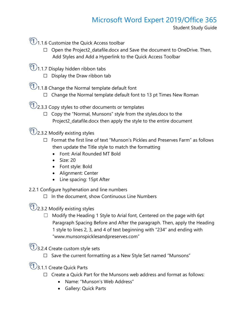Student Study Guide

**1.1.6 Customize the Quick Access toolbar** 

- ☐ Open the Project2\_datafile.docx and Save the document to OneDrive. Then, Add Styles and Add a Hyperlink to the Quick Access Toolbar
- $\bigcirc$ 1.1.7 Display hidden ribbon tabs
	- $\Box$  Display the Draw ribbon tab
- $\bigcirc$  1.1.8 Change the Normal template default font
	- $\Box$  Change the Normal template default font to 13 pt Times New Roman
- $\bigcirc$  2.3.3 Copy styles to other documents or templates
	- ☐ Copy the "Normal, Munsons" style from the styles.docx to the Project2\_datafile.docx then apply the style to the entire document

 $\bigcirc$  2.3.2 Modify existing styles

- ☐ Format the first line of text "Munson's Pickles and Preserves Farm" as follows then update the Title style to match the formatting
	- Font: Arial Rounded MT Bold
	- Size: 20
	- Font style: Bold
	- Alignment: Center
	- Line spacing: 15pt After
- 2.2.1 Configure hyphenation and line numbers
	- $\Box$  In the document, show Continuous Line Numbers

 $\bigcirc$  2.3.2 Modify existing styles

 $\Box$  Modify the Heading 1 Style to Arial font, Centered on the page with 6pt Paragraph Spacing Before and After the paragraph. Then, apply the Heading 1 style to lines 2, 3, and 4 of text beginning with "234" and ending with "www.munsonspicklesandpreserves.com"

 $\bigcirc$  3.2.4 Create custom style sets

- ☐ Save the current formatting as a New Style Set named "Munsons"
- **3.1.1 Create Quick Parts** 
	- ☐ Create a Quick Part for the Munsons web address and format as follows:
		- Name: "Munson's Web Address"
		- Gallery: Quick Parts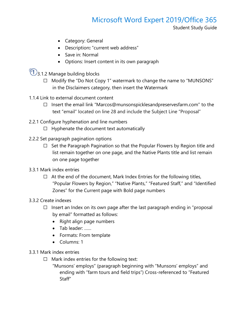- Category: General
- Description**:** "current web address"
- Save in: Normal
- Options: Insert content in its own paragraph
- $\overline{\mathbb{Q}}$ 3.1.2 Manage building blocks
	- ☐ Modify the "Do Not Copy 1" watermark to change the name to "MUNSONS" in the Disclaimers category, then insert the Watermark
- 1.1.4 Link to external document content
	- ☐ Insert the email link "Marcos@munsonspicklesandpreservesfarm.com" to the text "email" located on line 28 and include the Subject Line "Proposal"
- 2.2.1 Configure hyphenation and line numbers
	- $\Box$  Hyphenate the document text automatically
- 2.2.2 Set paragraph pagination options
	- $\Box$  Set the Paragraph Pagination so that the Popular Flowers by Region title and list remain together on one page, and the Native Plants title and list remain on one page together
- 3.3.1 Mark index entries
	- $\Box$  At the end of the document, Mark Index Entries for the following titles, "Popular Flowers by Region," "Native Plants," "Featured Staff," and "Identified Zones" for the Current page with Bold page numbers
- 3.3.2 Create indexes
	- $\Box$  Insert an Index on its own page after the last paragraph ending in "proposal by email" formatted as follows:
		- Right align page numbers
		- Tab leader: ……
		- Formats: From template
		- Columns: 1
- 3.3.1 Mark index entries
	- $\Box$  Mark index entries for the following text:
		- "Munsons' employs" (paragraph beginning with "Munsons' employs" and ending with "farm tours and field trips") Cross-referenced to "Featured Staff"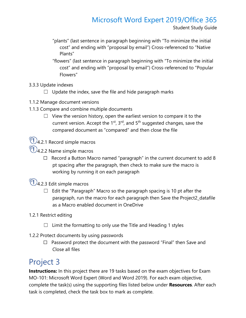Student Study Guide

- "plants" (last sentence in paragraph beginning with "To minimize the initial cost" and ending with "proposal by email") Cross-referenced to "Native Plants"
- "flowers" (last sentence in paragraph beginning with "To minimize the initial cost" and ending with "proposal by email") Cross-referenced to "Popular Flowers"
- 3.3.3 Update indexes
	- $\Box$  Update the index, save the file and hide paragraph marks
- 1.1.2 Manage document versions
- 1.1.3 Compare and combine multiple documents
	- $\Box$  View the version history, open the earliest version to compare it to the current version. Accept the  $1<sup>st</sup>$ ,  $3<sup>rd</sup>$ , and  $5<sup>th</sup>$  suggested changes, save the compared document as "compared" and then close the file



- $\bigcirc$ 4.2.2 Name simple macros
	- $\Box$  Record a Button Macro named "paragraph" in the current document to add 8 pt spacing after the paragraph, then check to make sure the macro is working by running it on each paragraph

 $\bigcirc$ 1.2.3 Edit simple macros

- $\Box$  Edit the "Paragraph" Macro so the paragraph spacing is 10 pt after the paragraph, run the macro for each paragraph then Save the Project2\_datafile as a Macro enabled document in OneDrive
- 1.2.1 Restrict editing
	- $\Box$  Limit the formatting to only use the Title and Heading 1 styles
- 1.2.2 Protect documents by using passwords
	- $\Box$  Password protect the document with the password "Final" then Save and Close all files

### <span id="page-11-0"></span>Project 3

**Instructions:** In this project there are 19 tasks based on the exam objectives for Exam MO-101: Microsoft Word Expert (Word and Word 2019). For each exam objective, complete the task(s) using the supporting files listed below under **Resources**. After each task is completed, check the task box to mark as complete.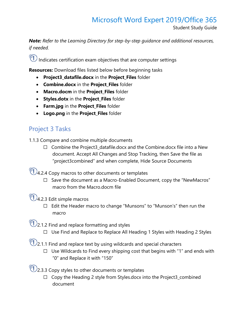Student Study Guide

*Note: Refer to the Learning Directory for step-by-step guidance and additional resources, if needed.*

 $\widehat{\P}$  Indicates certification exam objectives that are computer settings

**Resources:** Download files listed below before beginning tasks

- **Project3\_datafile.docx** in the **Project\_Files** folder
- **Combine.docx** in the **Project\_Files** folder
- **Macro.docm** in the **Project\_Files** folder
- **Styles.dotx** in the **Project\_Files** folder
- **Farm.jpg** in the **Project\_Files** folder
- **Logo.png** in the **Project\_Files** folder

#### Project 3 Tasks

1.1.3 Compare and combine multiple documents

- ☐ Combine the Project3\_datafile.docx and the Combine.docx file into a New document. Accept All Changes and Stop Tracking, then Save the file as "project3combined" and when complete, Hide Source Documents
- $\bigcirc$  4.2.4 Copy macros to other documents or templates
	- ☐ Save the document as a Macro-Enabled Document, copy the "NewMacros" macro from the Macro.docm file
- $\bigcirc$ 1.2.3 Edit simple macros
	- ☐ Edit the Header macro to change "Munsons" to "Munson's" then run the macro
- $\bigcirc$  2.1.2 Find and replace formatting and styles
	- ☐ Use Find and Replace to Replace All Heading 1 Styles with Heading 2 Styles
- $\bigcirc$  2.1.1 Find and replace text by using wildcards and special characters
	- $\Box$  Use Wildcards to Find every shipping cost that begins with "1" and ends with "0" and Replace it with "150"
- $\bigcirc$ 1) 2.3.3 Copy styles to other documents or templates
	- ☐ Copy the Heading 2 style from Styles.docx into the Project3\_combined document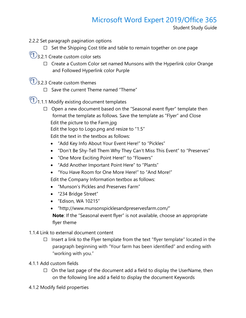Student Study Guide

- 2.2.2 Set paragraph pagination options
	- ☐ Set the Shipping Cost title and table to remain together on one page
- $\mathbb{C}$ 3.2.1 Create custom color sets
	- □ Create a Custom Color set named Munsons with the Hyperlink color Orange and Followed Hyperlink color Purple
- $\bigcirc$  3.2.3 Create custom themes
	- ☐ Save the current Theme named "Theme"
- $\bigcirc$  1.1.1 Modify existing document templates
	- ☐ Open a new document based on the "Seasonal event flyer" template then format the template as follows. Save the template as "Flyer" and Close Edit the picture to the Farm.jpg Edit the logo to Logo.png and resize to "1.5" Edit the text in the textbox as follows:
		- "Add Key Info About Your Event Here!" to "Pickles"
		- "Don't Be Shy-Tell Them Why They Can't Miss This Event" to "Preserves"
		- "One More Exciting Point Here!" to "Flowers"
		- "Add Another Important Point Here" to "Plants"
		- "You Have Room for One More Here!" to "And More!"

Edit the Company Information textbox as follows:

- "Munson's Pickles and Preserves Farm"
- "234 Bridge Street"
- "Edison, WA 10215"
- "http://www.munsonspicklesandpreservesfarm.com/"

**Note**: If the "Seasonal event flyer" is not available, choose an appropriate flyer theme

- 1.1.4 Link to external document content
	- $\Box$  Insert a link to the Flyer template from the text "flyer template" located in the paragraph beginning with "Your farm has been identified" and ending with "working with you."
- 4.1.1 Add custom fields
	- $\Box$  On the last page of the document add a field to display the UserName, then on the following line add a field to display the document Keywords
- 4.1.2 Modify field properties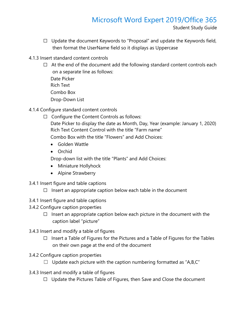Student Study Guide

- $\Box$  Update the document Keywords to "Proposal" and update the Keywords field, then format the UserName field so it displays as Uppercase
- 4.1.3 Insert standard content controls
	- $\Box$  At the end of the document add the following standard content controls each on a separate line as follows:
		- Date Picker Rich Text Combo Box Drop-Down List
- 4.1.4 Configure standard content controls
	- ☐ Configure the Content Controls as follows:
		- Date Picker to display the date as Month, Day, Year (example: January 1, 2020) Rich Text Content Control with the title "Farm name"

Combo Box with the title "Flowers" and Add Choices:

- Golden Wattle
- Orchid
- Drop-down list with the title "Plants" and Add Choices:
- Miniature Hollyhock
- Alpine Strawberry
- 3.4.1 Insert figure and table captions
	- $\Box$  Insert an appropriate caption below each table in the document
- 3.4.1 Insert figure and table captions
- 3.4.2 Configure caption properties
	- $\Box$  Insert an appropriate caption below each picture in the document with the caption label "picture"
- 3.4.3 Insert and modify a table of figures
	- $\Box$  Insert a Table of Figures for the Pictures and a Table of Figures for the Tables on their own page at the end of the document
- 3.4.2 Configure caption properties
	- $\Box$  Update each picture with the caption numbering formatted as "A,B,C"
- 3.4.3 Insert and modify a table of figures
	- □ Update the Pictures Table of Figures, then Save and Close the document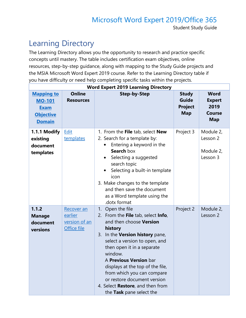## <span id="page-15-0"></span>Learning Directory

The Learning Directory allows you the opportunity to research and practice specific concepts until mastery. The table includes certification exam objectives, online resources, step-by-step guidance, along with mapping to the Study Guide projects and the MSIA Microsoft Word Expert 2019 course. Refer to the Learning Directory table if you have difficulty or need help completing specific tasks within the projects.

| <b>Word Expert 2019 Learning Directory</b>                                             |                                                       |                                                                                                                                                                                                                                                                                                                                                                                                                |                                                              |                                                                     |  |  |
|----------------------------------------------------------------------------------------|-------------------------------------------------------|----------------------------------------------------------------------------------------------------------------------------------------------------------------------------------------------------------------------------------------------------------------------------------------------------------------------------------------------------------------------------------------------------------------|--------------------------------------------------------------|---------------------------------------------------------------------|--|--|
| <b>Mapping to</b><br><b>MO-101</b><br><b>Exam</b><br><b>Objective</b><br><b>Domain</b> | <b>Online</b><br><b>Resources</b>                     | <b>Step-by-Step</b>                                                                                                                                                                                                                                                                                                                                                                                            | <b>Study</b><br><b>Guide</b><br><b>Project</b><br><b>Map</b> | <b>Word</b><br><b>Expert</b><br>2019<br><b>Course</b><br><b>Map</b> |  |  |
| 1.1.1 Modify<br>existing<br>document<br>templates                                      | Edit<br>templates                                     | 1. From the File tab, select New<br>2. Search for a template by:<br>Entering a keyword in the<br>$\bullet$<br><b>Search box</b><br>Selecting a suggested<br>$\bullet$<br>search topic<br>Selecting a built-in template<br>$\bullet$<br>icon<br>3. Make changes to the template<br>and then save the document<br>as a Word template using the<br>.dotx format                                                   | Project 3                                                    | Module 2,<br>Lesson 2<br>Module 2,<br>Lesson 3                      |  |  |
| 1.1.2<br><b>Manage</b><br>document<br>versions                                         | Recover an<br>earlier<br>version of an<br>Office file | 1. Open the file<br>2. From the File tab, select Info,<br>and then choose <b>Version</b><br>history<br>In the Version history pane,<br>3.<br>select a version to open, and<br>then open it in a separate<br>window.<br>A Previous Version bar<br>displays at the top of the file,<br>from which you can compare<br>or restore document version<br>4. Select Restore, and then from<br>the Task pane select the | Project 2                                                    | Module 2,<br>Lesson 2                                               |  |  |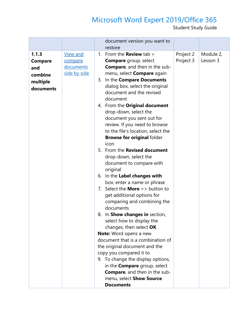|                                                             |                                                         |    | document version you want to<br>restore                                                                                                                                                                                                                                                                                                                                                                                                                                                                                                                                                                                                                                                                                                                                                                                                                                                                                                                                                                                                                                                                                  |                        |                       |
|-------------------------------------------------------------|---------------------------------------------------------|----|--------------------------------------------------------------------------------------------------------------------------------------------------------------------------------------------------------------------------------------------------------------------------------------------------------------------------------------------------------------------------------------------------------------------------------------------------------------------------------------------------------------------------------------------------------------------------------------------------------------------------------------------------------------------------------------------------------------------------------------------------------------------------------------------------------------------------------------------------------------------------------------------------------------------------------------------------------------------------------------------------------------------------------------------------------------------------------------------------------------------------|------------------------|-----------------------|
| 1.1.3<br>Compare<br>and<br>combine<br>multiple<br>documents | <b>View and</b><br>compare<br>documents<br>side by side | 8. | 1. From the <b>Review</b> tab ><br><b>Compare</b> group, select<br><b>Compare, and then in the sub-</b><br>menu, select <b>Compare</b> again<br>3. In the Compare Documents<br>dialog box, select the original<br>document and the revised<br>document<br>4. From the Original document<br>drop-down, select the<br>document you sent out for<br>review. If you need to browse<br>to the file's location, select the<br><b>Browse for original folder</b><br>icon<br>5. From the Revised document<br>drop-down, select the<br>document to compare with<br>original<br>6. In the Label changes with<br>box, enter a name or phrase<br>7. Select the <b>More</b> $>$ button to<br>get additional options for<br>comparing and combining the<br>documents<br>In Show changes in section,<br>select how to display the<br>changes, then select OK<br>Note: Word opens a new<br>document that is a combination of<br>the original document and the<br>copy you compared it to<br>9. To change the display options,<br>in the <b>Compare</b> group, select<br><b>Compare, and then in the sub-</b><br>menu, select Show Source | Project 2<br>Project 3 | Module 2,<br>Lesson 3 |
|                                                             |                                                         |    | <b>Documents</b>                                                                                                                                                                                                                                                                                                                                                                                                                                                                                                                                                                                                                                                                                                                                                                                                                                                                                                                                                                                                                                                                                                         |                        |                       |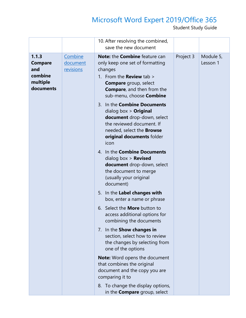|                                                                    |                                  | 10. After resolving the combined,<br>save the new document                                                                                                                                                        |           |                       |
|--------------------------------------------------------------------|----------------------------------|-------------------------------------------------------------------------------------------------------------------------------------------------------------------------------------------------------------------|-----------|-----------------------|
| 1.1.3<br><b>Compare</b><br>and<br>combine<br>multiple<br>documents | Combine<br>document<br>revisions | Note: the Combine feature can<br>only keep one set of formatting<br>changes<br>1. From the <b>Review</b> tab $>$<br><b>Compare</b> group, select<br><b>Compare, and then from the</b><br>sub-menu, choose Combine | Project 3 | Module 5,<br>Lesson 1 |
|                                                                    |                                  | 3. In the <b>Combine Documents</b><br>dialog box $>$ Original<br>document drop-down, select<br>the reviewed document. If<br>needed, select the <b>Browse</b><br>original documents folder<br>icon                 |           |                       |
|                                                                    |                                  | 4. In the <b>Combine Documents</b><br>dialog box $>$ Revised<br>document drop-down, select<br>the document to merge<br>(usually your original<br>document)                                                        |           |                       |
|                                                                    |                                  | In the Label changes with<br>5.<br>box, enter a name or phrase<br>Select the <b>More</b> button to<br>6.                                                                                                          |           |                       |
|                                                                    |                                  | access additional options for<br>combining the documents                                                                                                                                                          |           |                       |
|                                                                    |                                  | 7. In the <b>Show changes in</b><br>section, select how to review<br>the changes by selecting from<br>one of the options                                                                                          |           |                       |
|                                                                    |                                  | <b>Note:</b> Word opens the document<br>that combines the original<br>document and the copy you are<br>comparing it to                                                                                            |           |                       |
|                                                                    |                                  | To change the display options,<br>8.<br>in the <b>Compare</b> group, select                                                                                                                                       |           |                       |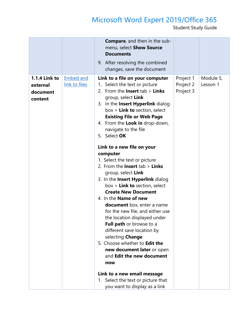|                                                         |                                   | <b>Compare, and then in the sub-</b><br>menu, select Show Source<br><b>Documents</b>                                                                                                                                                                                                                                                                                                                                                                                                                                                                            |                                     |                       |
|---------------------------------------------------------|-----------------------------------|-----------------------------------------------------------------------------------------------------------------------------------------------------------------------------------------------------------------------------------------------------------------------------------------------------------------------------------------------------------------------------------------------------------------------------------------------------------------------------------------------------------------------------------------------------------------|-------------------------------------|-----------------------|
|                                                         |                                   | 9. After resolving the combined<br>changes, save the document                                                                                                                                                                                                                                                                                                                                                                                                                                                                                                   |                                     |                       |
| <b>1.1.4 Link to</b><br>external<br>document<br>content | <b>Embed and</b><br>link to files | Link to a file on your computer<br>1. Select the text or picture<br>2. From the <b>Insert</b> $tab >$ <b>Links</b><br>group, select Link<br>3. In the Insert Hyperlink dialog<br>$box >$ Link to section, select<br><b>Existing File or Web Page</b><br>4. From the Look in drop-down,<br>navigate to the file<br>5. Select OK<br>Link to a new file on your<br>computer<br>1. Select the text or picture<br>2. From the <b>Insert</b> $tab >$ <b>Links</b>                                                                                                     | Project 1<br>Project 2<br>Project 3 | Module 5,<br>Lesson 1 |
|                                                         |                                   | group, select Link<br>3. In the Insert Hyperlink dialog<br>$box >$ Link to section, select<br><b>Create New Document</b><br>4. In the <b>Name of new</b><br><b>document</b> box, enter a name<br>for the new file, and either use<br>the location displayed under<br>Full path or browse to a<br>different save location by<br>selecting Change<br>5. Choose whether to Edit the<br>new document later or open<br>and <b>Edit the new document</b><br>now<br>Link to a new email message<br>1. Select the text or picture that<br>you want to display as a link |                                     |                       |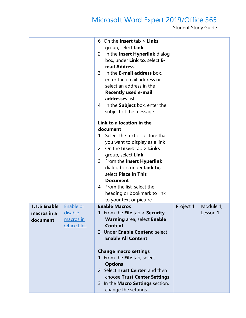|                                         |                                                          | 6. On the <b>Insert</b> tab $>$ <b>Links</b><br>group, select Link<br>2. In the Insert Hyperlink dialog<br>box, under Link to, select E-<br>mail Address<br>3. In the <b>E-mail address</b> box,<br>enter the email address or<br>select an address in the<br><b>Recently used e-mail</b><br>addresses list<br>4. In the <b>Subject</b> box, enter the<br>subject of the message<br>Link to a location in the<br>document<br>1. Select the text or picture that<br>you want to display as a link<br>2. On the <b>Insert</b> $tab >$ <b>Links</b><br>group, select Link<br>3. From the Insert Hyperlink<br>dialog box, under Link to,<br>select Place in This<br><b>Document</b><br>4. From the list, select the<br>heading or bookmark to link<br>to your text or picture |           |                       |
|-----------------------------------------|----------------------------------------------------------|---------------------------------------------------------------------------------------------------------------------------------------------------------------------------------------------------------------------------------------------------------------------------------------------------------------------------------------------------------------------------------------------------------------------------------------------------------------------------------------------------------------------------------------------------------------------------------------------------------------------------------------------------------------------------------------------------------------------------------------------------------------------------|-----------|-----------------------|
| 1.1.5 Enable<br>macros in a<br>document | Enable or<br><u>disable</u><br>macros in<br>Office files | <b>Enable Macros</b><br>1. From the <b>File</b> tab $>$ <b>Security</b><br><b>Warning area, select Enable</b><br><b>Content</b><br>2. Under Enable Content, select<br><b>Enable All Content</b><br><b>Change macro settings</b><br>1. From the File tab, select<br><b>Options</b><br>2. Select Trust Center, and then<br>choose Trust Center Settings                                                                                                                                                                                                                                                                                                                                                                                                                     | Project 1 | Module 1,<br>Lesson 1 |
|                                         |                                                          | 3. In the Macro Settings section,<br>change the settings                                                                                                                                                                                                                                                                                                                                                                                                                                                                                                                                                                                                                                                                                                                  |           |                       |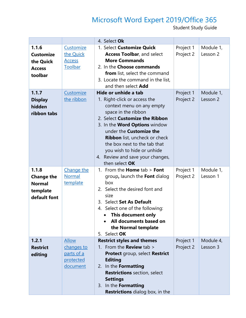|                                                                         |                                                                   | 4. Select Ok                                                                                                                                                                                                                                                                                                                                                              |                        |                       |
|-------------------------------------------------------------------------|-------------------------------------------------------------------|---------------------------------------------------------------------------------------------------------------------------------------------------------------------------------------------------------------------------------------------------------------------------------------------------------------------------------------------------------------------------|------------------------|-----------------------|
| 1.1.6<br><b>Customize</b><br>the Quick<br><b>Access</b><br>toolbar      | Customize<br>the Quick<br><b>Access</b><br>Toolbar                | 1. Select Customize Quick<br><b>Access Toolbar, and select</b><br><b>More Commands</b><br>2. In the Choose commands<br><b>from</b> list, select the command<br>3. Locate the command in the list,<br>and then select <b>Add</b>                                                                                                                                           | Project 1<br>Project 2 | Module 1,<br>Lesson 2 |
| 1.1.7<br><b>Display</b><br>hidden<br>ribbon tabs                        | Customize<br>the ribbon                                           | Hide or unhide a tab<br>1. Right-click or access the<br>context menu on any empty<br>space in the ribbon<br>2. Select Customize the Ribbon<br>3. In the <b>Word Options</b> window<br>under the Customize the<br><b>Ribbon</b> list, uncheck or check<br>the box next to the tab that<br>you wish to hide or unhide<br>4. Review and save your changes,<br>then select OK | Project 1<br>Project 2 | Module 1,<br>Lesson 2 |
| 1.1.8<br><b>Change the</b><br><b>Normal</b><br>template<br>default font | Change the<br><b>Normal</b><br>template                           | 1. From the <b>Home</b> $tab >$ <b>Font</b><br>group, launch the Font dialog<br>box<br>2. Select the desired font and<br>size<br>Select Set As Default<br>3.<br>4. Select one of the following:<br>This document only<br>All documents based on<br>the Normal template<br>Select OK<br>5.                                                                                 | Project 1<br>Project 2 | Module 1,<br>Lesson 1 |
| 1.2.1<br><b>Restrict</b><br>editing                                     | <b>Allow</b><br>changes to<br>parts of a<br>protected<br>document | <b>Restrict styles and themes</b><br>1. From the <b>Review</b> tab ><br>Protect group, select Restrict<br><b>Editing</b><br>2. In the Formatting<br><b>Restrictions</b> section, select<br><b>Settings</b><br>3. In the Formatting<br><b>Restrictions</b> dialog box, in the                                                                                              | Project 1<br>Project 2 | Module 4,<br>Lesson 3 |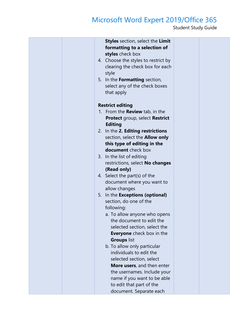|  | <b>Styles</b> section, select the Limit<br>formatting to a selection of<br>styles check box<br>4. Choose the styles to restrict by<br>clearing the check box for each<br>style<br>5. In the <b>Formatting</b> section,<br>select any of the check boxes<br>that apply |  |
|--|-----------------------------------------------------------------------------------------------------------------------------------------------------------------------------------------------------------------------------------------------------------------------|--|
|  | <b>Restrict editing</b>                                                                                                                                                                                                                                               |  |
|  | 1. From the <b>Review</b> tab, in the                                                                                                                                                                                                                                 |  |
|  | Protect group, select Restrict<br><b>Editing</b>                                                                                                                                                                                                                      |  |
|  | 2. In the 2. Editing restrictions                                                                                                                                                                                                                                     |  |
|  | section, select the <b>Allow only</b>                                                                                                                                                                                                                                 |  |
|  | this type of editing in the                                                                                                                                                                                                                                           |  |
|  | <b>document</b> check box                                                                                                                                                                                                                                             |  |
|  | 3. In the list of editing                                                                                                                                                                                                                                             |  |
|  | restrictions, select No changes<br>(Read only)                                                                                                                                                                                                                        |  |
|  | 4. Select the part(s) of the                                                                                                                                                                                                                                          |  |
|  | document where you want to                                                                                                                                                                                                                                            |  |
|  | allow changes                                                                                                                                                                                                                                                         |  |
|  | 5. In the Exceptions (optional)                                                                                                                                                                                                                                       |  |
|  | section, do one of the                                                                                                                                                                                                                                                |  |
|  | following:                                                                                                                                                                                                                                                            |  |
|  | a. To allow anyone who opens                                                                                                                                                                                                                                          |  |
|  | the document to edit the<br>selected section, select the                                                                                                                                                                                                              |  |
|  | <b>Everyone</b> check box in the                                                                                                                                                                                                                                      |  |
|  | <b>Groups list</b>                                                                                                                                                                                                                                                    |  |
|  | b. To allow only particular                                                                                                                                                                                                                                           |  |
|  | individuals to edit the                                                                                                                                                                                                                                               |  |
|  | selected section, select                                                                                                                                                                                                                                              |  |
|  | More users, and then enter                                                                                                                                                                                                                                            |  |
|  | the usernames. Include your                                                                                                                                                                                                                                           |  |
|  | name if you want to be able<br>to edit that part of the                                                                                                                                                                                                               |  |
|  | document. Separate each                                                                                                                                                                                                                                               |  |
|  |                                                                                                                                                                                                                                                                       |  |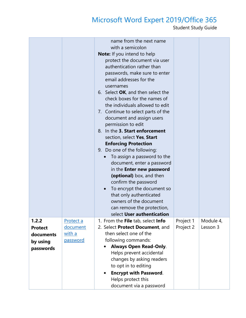|                                                               |                                             | name from the next name<br>with a semicolon<br><b>Note:</b> If you intend to help<br>protect the document via user<br>authentication rather than<br>passwords, make sure to enter<br>email addresses for the<br>usernames<br>6. Select OK, and then select the<br>check boxes for the names of<br>the individuals allowed to edit<br>7. Continue to select parts of the<br>document and assign users<br>permission to edit<br>8. In the 3. Start enforcement<br>section, select Yes, Start<br><b>Enforcing Protection</b><br>9. Do one of the following:<br>To assign a password to the<br>$\bullet$<br>document, enter a password<br>in the <b>Enter new password</b><br>(optional) box, and then<br>confirm the password<br>To encrypt the document so<br>$\bullet$<br>that only authenticated<br>owners of the document<br>can remove the protection,<br>select User authentication |                        |                       |
|---------------------------------------------------------------|---------------------------------------------|----------------------------------------------------------------------------------------------------------------------------------------------------------------------------------------------------------------------------------------------------------------------------------------------------------------------------------------------------------------------------------------------------------------------------------------------------------------------------------------------------------------------------------------------------------------------------------------------------------------------------------------------------------------------------------------------------------------------------------------------------------------------------------------------------------------------------------------------------------------------------------------|------------------------|-----------------------|
| 1.2.2<br><b>Protect</b><br>documents<br>by using<br>passwords | Protect a<br>document<br>with a<br>password | 1. From the File tab, select Info<br>2. Select Protect Document, and<br>then select one of the<br>following commands:<br><b>Always Open Read-Only.</b><br>Helps prevent accidental<br>changes by asking readers<br>to opt in to editing<br><b>Encrypt with Password.</b><br>Helps protect this<br>document via a password                                                                                                                                                                                                                                                                                                                                                                                                                                                                                                                                                              | Project 1<br>Project 2 | Module 4,<br>Lesson 3 |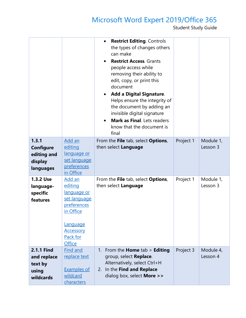|                                                                   |                                                                                                                                                  | <b>Restrict Editing. Controls</b><br>the types of changes others<br>can make<br><b>Restrict Access</b> , Grants<br>people access while<br>removing their ability to<br>edit, copy, or print this<br>document<br><b>Add a Digital Signature.</b><br>Helps ensure the integrity of<br>the document by adding an<br>invisible digital signature<br><b>Mark as Final.</b> Lets readers<br>know that the document is<br>final |           |                       |
|-------------------------------------------------------------------|--------------------------------------------------------------------------------------------------------------------------------------------------|--------------------------------------------------------------------------------------------------------------------------------------------------------------------------------------------------------------------------------------------------------------------------------------------------------------------------------------------------------------------------------------------------------------------------|-----------|-----------------------|
| 1.3.1<br><b>Configure</b><br>editing and<br>display<br>languages  | Add an<br>editing<br>language or<br>set language<br>preferences<br>in Office                                                                     | From the File tab, select Options,<br>then select Language                                                                                                                                                                                                                                                                                                                                                               | Project 1 | Module 1,<br>Lesson 3 |
| 1.3.2 Use<br>language-<br>specific<br>features                    | Add an<br>editing<br>language or<br>set language<br>preferences<br>in Office<br><b>Language</b><br><b>Accessory</b><br>Pack for<br><b>Office</b> | From the File tab, select Options,<br>then select Language                                                                                                                                                                                                                                                                                                                                                               | Project 1 | Module 1,<br>Lesson 3 |
| <b>2.1.1 Find</b><br>and replace<br>text by<br>using<br>wildcards | Find and<br>replace text<br><b>Examples of</b><br>wildcard<br>characters                                                                         | 1. From the Home tab > Editing<br>group, select Replace.<br>Alternatively, select Ctrl+H<br>2. In the Find and Replace<br>dialog box, select <b>More &gt;&gt;</b>                                                                                                                                                                                                                                                        | Project 3 | Module 4,<br>Lesson 4 |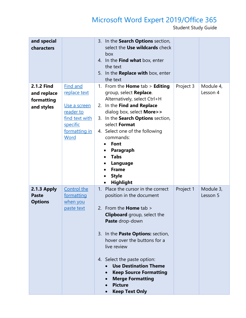| and special<br>characters                                    |                                                                                                                                   | In the Search Options section,<br>3.<br>select the Use wildcards check<br>box<br>4. In the Find what box, enter<br>the text<br>5. In the <b>Replace with</b> box, enter<br>the text                                                                                                                                                                                                                                          |           |                       |
|--------------------------------------------------------------|-----------------------------------------------------------------------------------------------------------------------------------|------------------------------------------------------------------------------------------------------------------------------------------------------------------------------------------------------------------------------------------------------------------------------------------------------------------------------------------------------------------------------------------------------------------------------|-----------|-----------------------|
| <b>2.1.2 Find</b><br>and replace<br>formatting<br>and styles | <b>Find and</b><br>replace text<br>Use a screen<br>reader to<br>find text with<br><u>specific</u><br><u>formatting in</u><br>Word | 1. From the <b>Home</b> tab $>$ <b>Editing</b><br>group, select Replace.<br>Alternatively, select Ctrl+H<br>2. In the Find and Replace<br>dialog box, select <b>More&gt;&gt;</b><br>In the Search Options section,<br>3.<br>select Format<br>4. Select one of the following<br>commands:<br><b>Font</b><br>Paragraph<br><b>Tabs</b><br>Language<br><b>Frame</b><br><b>Style</b><br><b>Highlight</b><br>$\bullet$             | Project 3 | Module 4,<br>Lesson 4 |
| 2.1.3 Apply<br><b>Paste</b><br><b>Options</b>                | Control the<br>formatting<br>when you<br>paste text                                                                               | 1. Place the cursor in the correct<br>position in the document<br>From the <b>Home</b> tab ><br>2.<br><b>Clipboard</b> group, select the<br>Paste drop-down<br>3. In the <b>Paste Options:</b> section,<br>hover over the buttons for a<br>live review<br>4. Select the paste option:<br><b>Use Destination Theme</b><br><b>Keep Source Formatting</b><br><b>Merge Formatting</b><br><b>Picture</b><br><b>Keep Text Only</b> | Project 1 | Module 3,<br>Lesson 5 |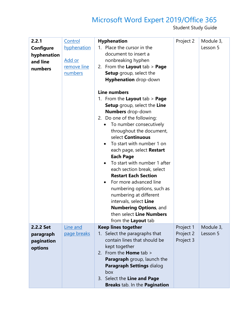| 2.2.1<br>Configure<br>hyphenation<br>and line<br>numbers | Control<br>hyphenation<br>Add or<br>remove line<br>numbers | <b>Hyphenation</b><br>1. Place the cursor in the<br>document to insert a<br>nonbreaking hyphen<br>2. From the Layout tab $>$ Page<br>Setup group, select the<br>Hyphenation drop-down<br><b>Line numbers</b><br>1. From the Layout tab > Page<br><b>Setup</b> group, select the Line<br><b>Numbers</b> drop-down<br>2. Do one of the following:<br>To number consecutively<br>throughout the document,<br>select Continuous<br>To start with number 1 on<br>$\bullet$<br>each page, select Restart<br><b>Each Page</b><br>To start with number 1 after<br>$\bullet$<br>each section break, select<br><b>Restart Each Section</b><br>For more advanced line<br>$\bullet$<br>numbering options, such as<br>numbering at different<br>intervals, select Line<br>Numbering Options, and<br>then select Line Numbers<br>from the Layout tab | Project 2                           | Module 3,<br>Lesson 5 |
|----------------------------------------------------------|------------------------------------------------------------|----------------------------------------------------------------------------------------------------------------------------------------------------------------------------------------------------------------------------------------------------------------------------------------------------------------------------------------------------------------------------------------------------------------------------------------------------------------------------------------------------------------------------------------------------------------------------------------------------------------------------------------------------------------------------------------------------------------------------------------------------------------------------------------------------------------------------------------|-------------------------------------|-----------------------|
| 2.2.2 Set<br>paragraph<br>pagination<br>options          | Line and<br>page breaks                                    | <b>Keep lines together</b><br>Select the paragraphs that<br>1.<br>contain lines that should be<br>kept together<br>2. From the <b>Home</b> tab $>$<br>Paragraph group, launch the<br>Paragraph Settings dialog<br>box<br>3. Select the Line and Page<br>Breaks tab. In the Pagination                                                                                                                                                                                                                                                                                                                                                                                                                                                                                                                                                  | Project 1<br>Project 2<br>Project 3 | Module 3,<br>Lesson 5 |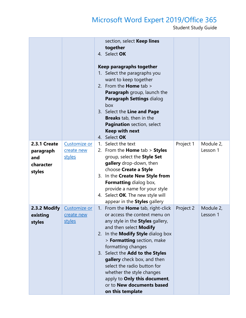|                                                         |                                      | section, select Keep lines<br>together<br>4. Select OK<br>Keep paragraphs together<br>1. Select the paragraphs you<br>want to keep together<br>2. From the <b>Home</b> tab $>$<br><b>Paragraph</b> group, launch the<br>Paragraph Settings dialog<br>box<br>3. Select the Line and Page<br><b>Breaks</b> tab, then in the<br>Pagination section, select<br><b>Keep with next</b><br>4. Select OK                                                              |           |                       |
|---------------------------------------------------------|--------------------------------------|---------------------------------------------------------------------------------------------------------------------------------------------------------------------------------------------------------------------------------------------------------------------------------------------------------------------------------------------------------------------------------------------------------------------------------------------------------------|-----------|-----------------------|
| 2.3.1 Create<br>paragraph<br>and<br>character<br>styles | Customize or<br>create new<br>styles | Select the text<br>1.<br>2. From the <b>Home</b> tab $>$ <b>Styles</b><br>group, select the Style Set<br>gallery drop-down, then<br>choose Create a Style<br>3. In the Create New Style from<br><b>Formatting dialog box,</b><br>provide a name for your style<br>4. Select OK. The new style will<br>appear in the <b>Styles</b> gallery                                                                                                                     | Project 1 | Module 2,<br>Lesson 1 |
| 2.3.2 Modify<br>existing<br>styles                      | Customize or<br>create new<br>styles | 1. From the <b>Home</b> tab, right-click<br>or access the context menu on<br>any style in the <b>Styles</b> gallery,<br>and then select Modify<br>2. In the <b>Modify Style</b> dialog box<br>> Formatting section, make<br>formatting changes<br>3. Select the Add to the Styles<br>gallery check box, and then<br>select the radio button for<br>whether the style changes<br>apply to Only this document,<br>or to New documents based<br>on this template | Project 2 | Module 2,<br>Lesson 1 |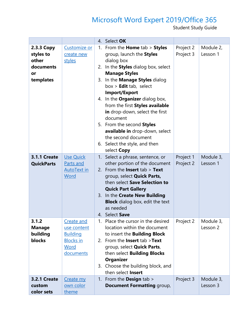|                                                                  |                                                                                       |          | 4. Select OK                                                                                                                                                                                                                                                                                                                                                                                                                                                                                            |                        |                       |
|------------------------------------------------------------------|---------------------------------------------------------------------------------------|----------|---------------------------------------------------------------------------------------------------------------------------------------------------------------------------------------------------------------------------------------------------------------------------------------------------------------------------------------------------------------------------------------------------------------------------------------------------------------------------------------------------------|------------------------|-----------------------|
| 2.3.3 Copy<br>styles to<br>other<br>documents<br>or<br>templates | Customize or<br>create new<br>styles                                                  | 1.<br>2. | From the <b>Home</b> $tab >$ <b>Styles</b><br>group, launch the Styles<br>dialog box<br>In the Styles dialog box, select<br><b>Manage Styles</b><br>3. In the Manage Styles dialog<br>$box >$ Edit tab, select<br><b>Import/Export</b><br>4. In the <b>Organizer</b> dialog box,<br>from the first Styles available<br>in drop-down, select the first<br>document<br>5. From the second Styles<br>available in drop-down, select<br>the second document<br>6. Select the style, and then<br>select Copy | Project 2<br>Project 3 | Module 2,<br>Lesson 1 |
| <b>3.1.1 Create</b><br><b>QuickParts</b>                         | Use Quick<br>Parts and<br><b>AutoText in</b><br>Word                                  |          | 1. Select a phrase, sentence, or<br>other portion of the document<br>2. From the <b>Insert</b> tab $>$ <b>Text</b><br>group, select <b>Quick Parts,</b><br>then select Save Selection to<br><b>Quick Part Gallery</b><br>3. In the Create New Building<br><b>Block</b> dialog box, edit the text<br>as needed<br>4. Select Save                                                                                                                                                                         | Project 1<br>Project 2 | Module 3,<br>Lesson 1 |
| 3.1.2<br><b>Manage</b><br>building<br>blocks                     | Create and<br>use content<br><b>Building</b><br><b>Blocks in</b><br>Word<br>documents | 1.       | Place the cursor in the desired<br>location within the document<br>to insert the <b>Building Block</b><br>2. From the Insert tab >Text<br>group, select <b>Quick Parts</b> ,<br>then select Building Blocks<br><b>Organizer</b><br>3. Choose the building block, and<br>then select Insert                                                                                                                                                                                                              | Project 2              | Module 3,<br>Lesson 2 |
| <b>3.2.1 Create</b><br>custom<br>color sets                      | Create my<br>own color<br>theme                                                       | 1.       | From the <b>Design</b> tab ><br><b>Document Formatting group,</b>                                                                                                                                                                                                                                                                                                                                                                                                                                       | Project 3              | Module 3,<br>Lesson 3 |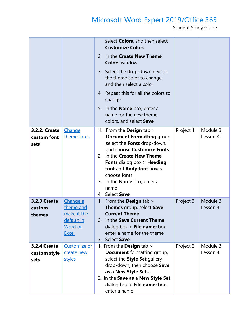|                                             |                                                                                      | select <b>Colors</b> , and then select<br><b>Customize Colors</b><br>2. In the Create New Theme<br><b>Colors</b> window<br>3. Select the drop-down next to<br>the theme color to change,<br>and then select a color<br>4. Repeat this for all the colors to                                                                |           |                       |
|---------------------------------------------|--------------------------------------------------------------------------------------|----------------------------------------------------------------------------------------------------------------------------------------------------------------------------------------------------------------------------------------------------------------------------------------------------------------------------|-----------|-----------------------|
|                                             |                                                                                      | change<br>5. In the <b>Name</b> box, enter a<br>name for the new theme<br>colors, and select Save                                                                                                                                                                                                                          |           |                       |
| 3.2.2: Create<br>custom font<br>sets        | Change<br>theme fonts                                                                | 1. From the <b>Design</b> tab $>$<br><b>Document Formatting group,</b><br>select the Fonts drop-down,<br>and choose Customize Fonts<br>2. In the Create New Theme<br><b>Fonts</b> dialog box > <b>Heading</b><br>font and Body font boxes,<br>choose fonts<br>3. In the <b>Name</b> box, enter a<br>name<br>4. Select Save | Project 1 | Module 3,<br>Lesson 3 |
| <b>3.2.3 Create</b><br>custom<br>themes     | <u>Change a</u><br>theme and<br>make it the<br>default in<br>Word or<br><b>Excel</b> | 1. From the <b>Design</b> tab $>$<br>Themes group, select Save<br><b>Current Theme</b><br>In the Save Current Theme<br>2.<br>dialog box > File name: box,<br>enter a name for the theme<br>3. Select Save                                                                                                                  | Project 3 | Module 3,<br>Lesson 3 |
| <b>3.2.4 Create</b><br>custom style<br>sets | Customize or<br>create new<br>styles                                                 | 1. From the <b>Design</b> tab ><br><b>Document</b> formatting group,<br>select the Style Set gallery<br>drop-down, then choose Save<br>as a New Style Set<br>2. In the Save as a New Style Set<br>dialog box > File name: box,<br>enter a name                                                                             | Project 2 | Module 3,<br>Lesson 4 |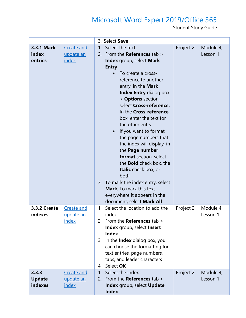|                                       |                                         | 3. Select Save                                                                                                                                                                                                                                                                                                                                                                                                                                                                                                                                                                                                                                                                                   |           |                       |
|---------------------------------------|-----------------------------------------|--------------------------------------------------------------------------------------------------------------------------------------------------------------------------------------------------------------------------------------------------------------------------------------------------------------------------------------------------------------------------------------------------------------------------------------------------------------------------------------------------------------------------------------------------------------------------------------------------------------------------------------------------------------------------------------------------|-----------|-----------------------|
| <b>3.3.1 Mark</b><br>index<br>entries | Create and<br>update an<br>index        | Select the text<br>$1_{\cdot}$<br>2. From the References tab ><br>Index group, select Mark<br><b>Entry</b><br>To create a cross-<br>reference to another<br>entry, in the Mark<br><b>Index Entry dialog box</b><br>> Options section,<br>select Cross-reference.<br>In the Cross-reference<br>box, enter the text for<br>the other entry<br>If you want to format<br>$\bullet$<br>the page numbers that<br>the index will display, in<br>the Page number<br>format section, select<br>the <b>Bold</b> check box, the<br><b>Italic</b> check box, or<br>both<br>3. To mark the index entry, select<br><b>Mark.</b> To mark this text<br>everywhere it appears in the<br>document, select Mark All | Project 2 | Module 4,<br>Lesson 1 |
| <b>3.3.2 Create</b><br>indexes        | Create and<br>update an<br><u>index</u> | Select the location to add the<br>1.<br>index<br>2. From the References tab ><br>Index group, select Insert<br><b>Index</b><br>3. In the Index dialog box, you<br>can choose the formatting for<br>text entries, page numbers,<br>tabs, and leader characters<br>Select OK<br>4.                                                                                                                                                                                                                                                                                                                                                                                                                 | Project 2 | Module 4,<br>Lesson 1 |
| 3.3.3<br><b>Update</b><br>indexes     | Create and<br>update an<br>index        | Select the index<br>1 <sub>1</sub><br>From the <b>References</b> tab ><br>2.<br>Index group, select Update<br><b>Index</b>                                                                                                                                                                                                                                                                                                                                                                                                                                                                                                                                                                       | Project 2 | Module 4,<br>Lesson 1 |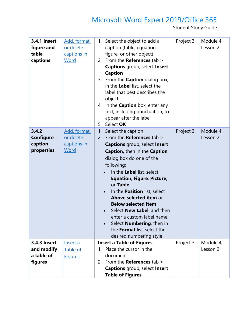| <b>3.4.1 Insert</b><br>figure and<br>table<br>captions | Add, format,<br>or delete<br>captions in<br>Word | 1. Select the object to add a<br>caption (table, equation,<br>figure, or other object)<br>2. From the References tab $>$<br><b>Captions</b> group, select Insert<br><b>Caption</b><br>3. From the <b>Caption</b> dialog box,<br>in the Label list, select the<br>label that best describes the<br>object<br>4. In the <b>Caption</b> box, enter any<br>text, including punctuation, to<br>appear after the label<br>Select OK<br>5.                                                                                                                                             | Project 3 | Module 4,<br>Lesson 2 |
|--------------------------------------------------------|--------------------------------------------------|---------------------------------------------------------------------------------------------------------------------------------------------------------------------------------------------------------------------------------------------------------------------------------------------------------------------------------------------------------------------------------------------------------------------------------------------------------------------------------------------------------------------------------------------------------------------------------|-----------|-----------------------|
| 3.4.2<br><b>Configure</b><br>caption<br>properties     | Add, format,<br>or delete<br>captions in<br>Word | 1.<br>Select the caption<br>2. From the References tab $>$<br><b>Captions</b> group, select Insert<br>Caption, then in the Caption<br>dialog box do one of the<br>following:<br>In the Label list, select<br>$\bullet$<br><b>Equation, Figure, Picture,</b><br>or Table<br>In the <b>Position</b> list, select<br>$\bullet$<br>Above selected item or<br><b>Below selected item</b><br>Select <b>New Label</b> , and then<br>$\bullet$<br>enter a custom label name<br>Select <b>Numbering</b> , then in<br>$\bullet$<br>the Format list, select the<br>desired numbering style | Project 3 | Module 4,<br>Lesson 2 |
| 3.4.3 Insert<br>and modify<br>a table of<br>figures    | Insert a<br>Table of<br><b>Figures</b>           | <b>Insert a Table of Figures</b><br>1. Place the cursor in the<br>document<br>2. From the <b>References</b> tab $>$<br><b>Captions</b> group, select Insert<br><b>Table of Figures</b>                                                                                                                                                                                                                                                                                                                                                                                          | Project 3 | Module 4,<br>Lesson 2 |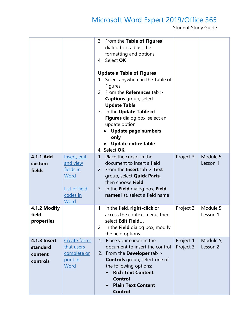|                                                        |                                                                                     | 3. From the Table of Figures<br>dialog box, adjust the<br>formatting and options<br>4. Select OK<br><b>Update a Table of Figures</b><br>1. Select anywhere in the Table of<br><b>Figures</b><br>2. From the References tab $>$<br><b>Captions</b> group, select<br><b>Update Table</b><br>3. In the Update Table of<br>Figures dialog box, select an<br>update option:<br><b>Update page numbers</b><br>only<br><b>Update entire table</b><br>4. Select OK |                        |                       |
|--------------------------------------------------------|-------------------------------------------------------------------------------------|------------------------------------------------------------------------------------------------------------------------------------------------------------------------------------------------------------------------------------------------------------------------------------------------------------------------------------------------------------------------------------------------------------------------------------------------------------|------------------------|-----------------------|
| 4.1.1 Add<br>custom<br>fields                          | Insert, edit,<br>and view<br>fields in<br>Word<br>List of field<br>codes in<br>Word | 1. Place the cursor in the<br>document to insert a field<br>2. From the <b>Insert</b> tab $>$ <b>Text</b><br>group, select <b>Quick Parts</b> ,<br>then choose Field<br>3. In the Field dialog box, Field<br>names list, select a field name                                                                                                                                                                                                               | Project 3              | Module 5,<br>Lesson 1 |
| 4.1.2 Modify<br>field<br>properties                    |                                                                                     | In the field, right-click or<br>1.<br>access the context menu, then<br>select Edit Field<br>2. In the Field dialog box, modify<br>the field options                                                                                                                                                                                                                                                                                                        | Project 3              | Module 5,<br>Lesson 1 |
| <b>4.1.3 Insert</b><br>standard<br>content<br>controls | Create forms<br>that users<br>complete or<br>print in<br>Word                       | Place your cursor in the<br>1.<br>document to insert the control<br>2. From the <b>Developer</b> tab $>$<br><b>Controls</b> group, select one of<br>the following options:<br><b>Rich Text Content</b><br><b>Control</b><br><b>Plain Text Content</b><br><b>Control</b>                                                                                                                                                                                    | Project 1<br>Project 3 | Module 5,<br>Lesson 2 |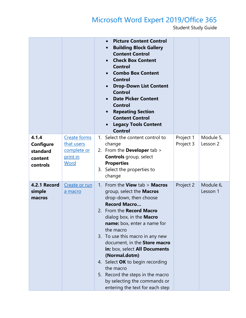|                                                              |                                                               | <b>Picture Content Control</b><br><b>Building Block Gallery</b><br>$\bullet$<br><b>Content Control</b><br><b>Check Box Content</b><br><b>Control</b><br><b>Combo Box Content</b><br><b>Control</b><br><b>Drop-Down List Content</b><br><b>Control</b><br><b>Date Picker Content</b><br><b>Control</b><br><b>Repeating Section</b><br><b>Content Control</b><br><b>Legacy Tools Content</b><br><b>Control</b>                                                                                                                    |                        |                       |
|--------------------------------------------------------------|---------------------------------------------------------------|---------------------------------------------------------------------------------------------------------------------------------------------------------------------------------------------------------------------------------------------------------------------------------------------------------------------------------------------------------------------------------------------------------------------------------------------------------------------------------------------------------------------------------|------------------------|-----------------------|
| 4.1.4<br><b>Configure</b><br>standard<br>content<br>controls | Create forms<br>that users<br>complete or<br>print in<br>Word | Select the content control to<br>$1_{\cdot}$<br>change<br>2. From the Developer tab ><br><b>Controls</b> group, select<br><b>Properties</b><br>3. Select the properties to<br>change                                                                                                                                                                                                                                                                                                                                            | Project 1<br>Project 3 | Module 5,<br>Lesson 2 |
| 4.2.1 Record<br>simple<br>macros                             | Create or run<br>a macro                                      | 1. From the <b>View</b> tab $>$ <b>Macros</b><br>group, select the <b>Macros</b><br>drop-down, then choose<br><b>Record Macro</b><br>2. From the Record Macro<br>dialog box, in the <b>Macro</b><br><b>name:</b> box, enter a name for<br>the macro<br>3. To use this macro in any new<br>document, in the Store macro<br>in: box, select All Documents<br>(Normal.dotm)<br>4. Select OK to begin recording<br>the macro<br>5. Record the steps in the macro<br>by selecting the commands or<br>entering the text for each step | Project 2              | Module 6,<br>Lesson 1 |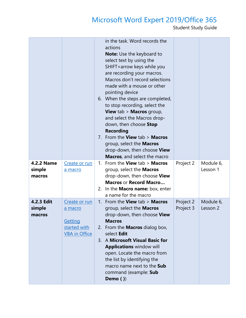|                                       |                                                                             | in the task. Word records the<br>actions<br><b>Note:</b> Use the keyboard to<br>select text by using the<br>SHIFT+arrow keys while you<br>are recording your macros.<br>Macros don't record selections<br>made with a mouse or other<br>pointing device<br>6. When the steps are completed,<br>to stop recording, select the<br><b>View</b> tab > <b>Macros</b> group,<br>and select the Macros drop-<br>down, then choose Stop<br><b>Recording</b><br>7. From the View tab > Macros<br>group, select the <b>Macros</b><br>drop-down, then choose View<br>Macros, and select the macro |                        |                       |
|---------------------------------------|-----------------------------------------------------------------------------|----------------------------------------------------------------------------------------------------------------------------------------------------------------------------------------------------------------------------------------------------------------------------------------------------------------------------------------------------------------------------------------------------------------------------------------------------------------------------------------------------------------------------------------------------------------------------------------|------------------------|-----------------------|
| <b>4.2.2 Name</b><br>simple<br>macros | Create or run<br>a macro                                                    | 1. From the <b>View</b> tab $>$ <b>Macros</b><br>group, select the <b>Macros</b><br>drop-down, then choose View<br><b>Macros or Record Macro</b><br>2. In the <b>Macro name:</b> box, enter<br>a name for the macro                                                                                                                                                                                                                                                                                                                                                                    | Project 2              | Module 6,<br>Lesson 1 |
| 4.2.3 Edit<br>simple<br>macros        | Create or run<br>a macro<br>Getting<br>started with<br><b>VBA</b> in Office | 1. From the <b>View</b> tab $>$ <b>Macros</b><br>group, select the <b>Macros</b><br>drop-down, then choose View<br><b>Macros</b><br>2. From the <b>Macros</b> dialog box,<br>select Edit<br>3. A Microsoft Visual Basic for<br><b>Applications window will</b><br>open. Locate the macro from<br>the list by identifying the<br>macro name next to the Sub<br>command (example: Sub<br>Demo $()$                                                                                                                                                                                       | Project 2<br>Project 3 | Module 6,<br>Lesson 2 |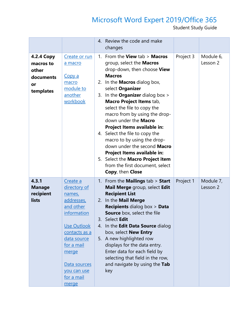|                                                                         |                                                                                                                                                                                                                 |    | 4. Review the code and make<br>changes                                                                                                                                                                                                                                                                                                                                                                                                                                                                                                                                                                             |           |                       |
|-------------------------------------------------------------------------|-----------------------------------------------------------------------------------------------------------------------------------------------------------------------------------------------------------------|----|--------------------------------------------------------------------------------------------------------------------------------------------------------------------------------------------------------------------------------------------------------------------------------------------------------------------------------------------------------------------------------------------------------------------------------------------------------------------------------------------------------------------------------------------------------------------------------------------------------------------|-----------|-----------------------|
| <b>4.2.4 Copy</b><br>macros to<br>other<br>documents<br>or<br>templates | Create or run<br>a macro<br><u>Copy a</u><br>macro<br>module to<br>another<br>workbook                                                                                                                          | 3. | 1. From the <b>View</b> tab $>$ <b>Macros</b><br>group, select the <b>Macros</b><br>drop-down, then choose View<br><b>Macros</b><br>2. In the <b>Macros</b> dialog box,<br>select Organizer<br>In the <b>Organizer</b> dialog box $>$<br>Macro Project Items tab,<br>select the file to copy the<br>macro from by using the drop-<br>down under the Macro<br>Project Items available in:<br>4. Select the file to copy the<br>macro to by using the drop-<br>down under the second Macro<br>Project Items available in:<br>5. Select the Macro Project item<br>from the first document, select<br>Copy, then Close | Project 3 | Module 6,<br>Lesson 2 |
| 4.3.1<br><b>Manage</b><br>recipient<br>lists                            | Create a<br>directory of<br>names,<br>addresses,<br>and other<br>information<br>Use Outlook<br>contacts as a<br>data source<br>for a mail<br>merge<br>Data sources<br>you can use<br><u>for a mail</u><br>merge | 3. | 1. From the <b>Mailings</b> tab > Start<br>Mail Merge group, select Edit<br><b>Recipient List</b><br>2. In the Mail Merge<br><b>Recipients dialog box &gt; Data</b><br><b>Source</b> box, select the file<br>Select Edit<br>4. In the Edit Data Source dialog<br>box, select New Entry<br>5. A new highlighted row<br>displays for the data entry.<br>Enter data for each field by<br>selecting that field in the row,<br>and navigate by using the Tab<br>key                                                                                                                                                     | Project 1 | Module 7,<br>Lesson 2 |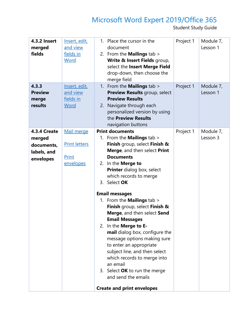| navigation buttons<br><b>Print documents</b><br>4.3.4 Create<br>Project 1<br>Module 7,<br>Mail merge<br>1. From the <b>Mailings</b> tab ><br>Lesson 3<br>merged<br><b>Print letters</b><br>Finish group, select Finish &<br>documents,<br>Merge, and then select Print<br>labels, and<br>Print<br><b>Documents</b><br>envelopes<br>2. In the <b>Merge to</b><br>envelopes<br><b>Printer</b> dialog box, select<br>which records to merge<br>3. Select OK<br><b>Email messages</b><br>1. From the <b>Mailings</b> tab ><br>Finish group, select Finish &<br>Merge, and then select Send<br><b>Email Messages</b><br>2. In the Merge to E-<br>mail dialog box, configure the<br>message options making sure | <b>4.3.2 Insert</b><br>merged<br>fields<br>4.3.3<br><b>Preview</b><br>merge<br>results | Insert, edit,<br>and view<br>fields in<br>Word<br>Insert, edit,<br>and view<br>fields in<br>Word | 1. Place the cursor in the<br>document<br>2. From the <b>Mailings</b> tab ><br>Write & Insert Fields group,<br>select the Insert Merge Field<br>drop-down, then choose the<br>merge field<br>1. From the <b>Mailings</b> tab ><br>Preview Results group, select<br><b>Preview Results</b><br>2. Navigate through each<br>personalized version by using<br>the Preview Results | Project 1<br>Project 1 | Module 7,<br>Lesson 1<br>Module 7,<br>Lesson 1 |
|-----------------------------------------------------------------------------------------------------------------------------------------------------------------------------------------------------------------------------------------------------------------------------------------------------------------------------------------------------------------------------------------------------------------------------------------------------------------------------------------------------------------------------------------------------------------------------------------------------------------------------------------------------------------------------------------------------------|----------------------------------------------------------------------------------------|--------------------------------------------------------------------------------------------------|-------------------------------------------------------------------------------------------------------------------------------------------------------------------------------------------------------------------------------------------------------------------------------------------------------------------------------------------------------------------------------|------------------------|------------------------------------------------|
| subject line, and then select<br>which records to merge into<br>an email<br>3. Select OK to run the merge<br>and send the emails<br><b>Create and print envelopes</b>                                                                                                                                                                                                                                                                                                                                                                                                                                                                                                                                     |                                                                                        |                                                                                                  | to enter an appropriate                                                                                                                                                                                                                                                                                                                                                       |                        |                                                |